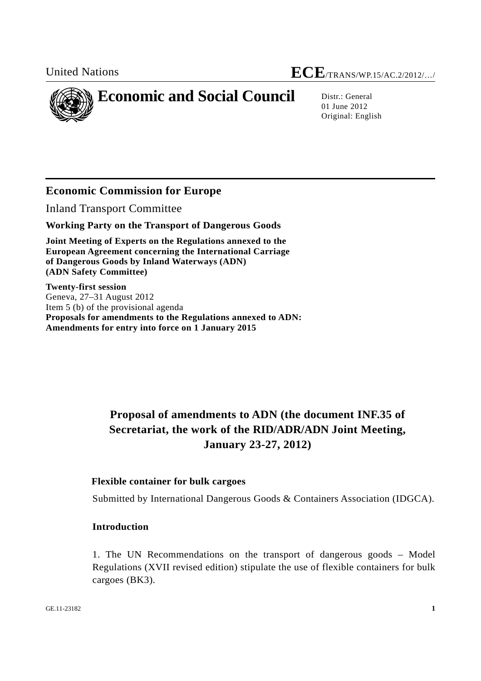

01 June 2012 Original: English

## **Economic Commission for Europe**

Inland Transport Committee

**Working Party on the Transport of Dangerous Goods** 

**Joint Meeting of Experts on the Regulations annexed to the European Agreement concerning the International Carriage of Dangerous Goods by Inland Waterways (ADN) (ADN Safety Committee)** 

**Twenty-first session**  Geneva, 27–31 August 2012 Item 5 (b) of the provisional agenda **Proposals for amendments to the Regulations annexed to ADN: Amendments for entry into force on 1 January 2015** 

# **Proposal of amendments to ADN (the document INF.35 of Secretariat, the work of the RID/ADR/ADN Joint Meeting, January 23-27, 2012)**

#### **Flexible container for bulk cargoes**

Submitted by International Dangerous Goods & Containers Association (IDGCA).

#### **Introduction**

1. The UN Recommendations on the transport of dangerous goods – Model Regulations (XVII revised edition) stipulate the use of flexible containers for bulk cargoes (BK3).